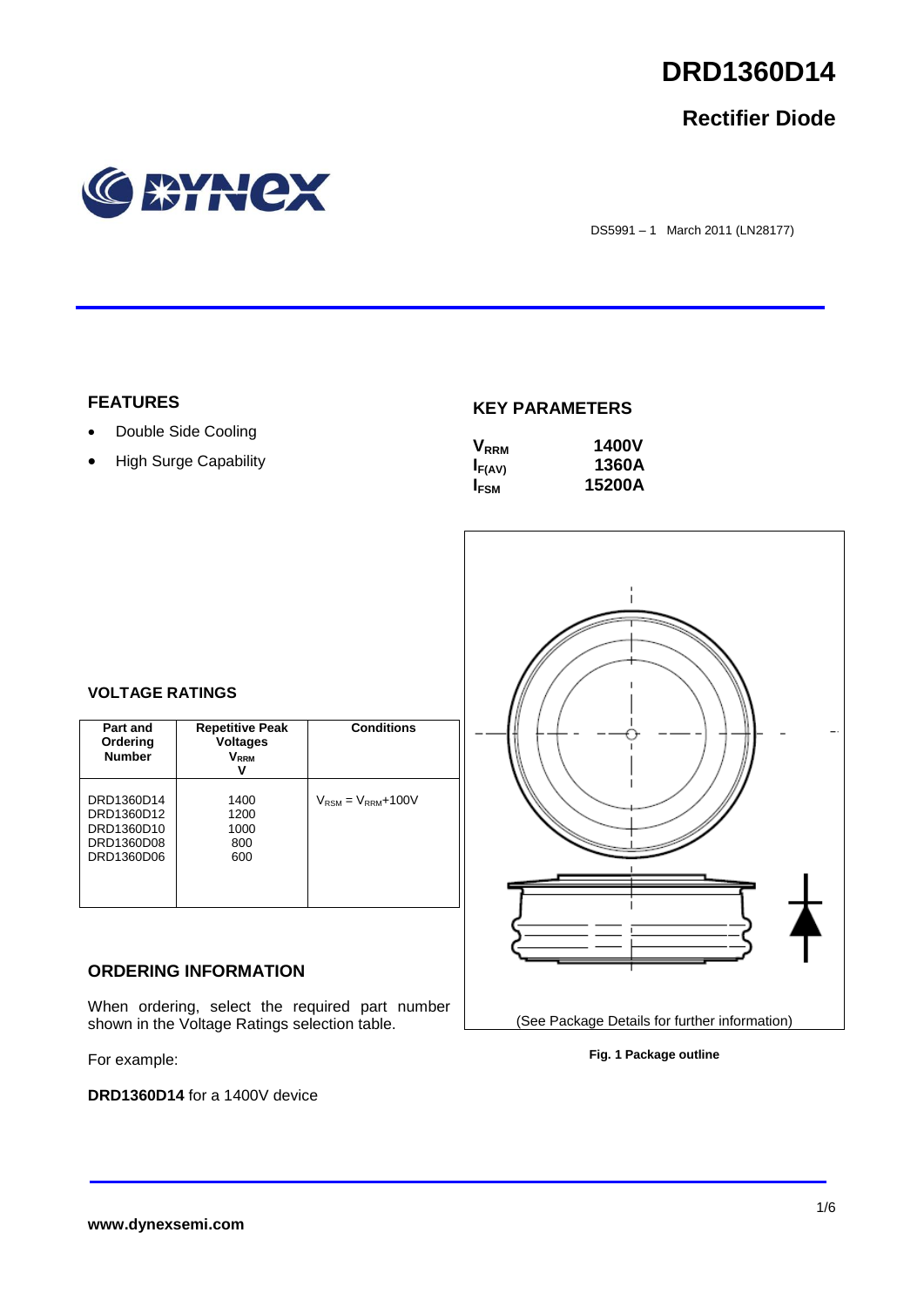

## **Rectifier Diode**



DS5991 – 1 March 2011 (LN28177)

## **FEATURES**

- Double Side Cooling
- High Surge Capability

## **KEY PARAMETERS**

| $\mathsf{V}_{\scriptscriptstyle\sf RRM}$ | <b>1400V</b> |
|------------------------------------------|--------------|
| $I_{F(AV)}$                              | 1360A        |
| <b>I</b> <sub>FSM</sub>                  | 15200A       |



## **VOLTAGE RATINGS**

| Part and<br>Ordering<br><b>Number</b>                              | <b>Repetitive Peak</b><br><b>Voltages</b><br>$\mathsf{V}_\mathsf{RRM}$ | <b>Conditions</b>                        |
|--------------------------------------------------------------------|------------------------------------------------------------------------|------------------------------------------|
| DRD1360D14<br>DRD1360D12<br>DRD1360D10<br>DRD1360D08<br>DRD1360D06 | 1400<br>1200<br>1000<br>800<br>600                                     | $V_{\text{RSM}} = V_{\text{RRM}} + 100V$ |

## **ORDERING INFORMATION**

When ordering, select the required part number shown in the Voltage Ratings selection table.

For example:

**DRD1360D14** for a 1400V device

(See Package Details for further information) **Fig. 1 Package outline**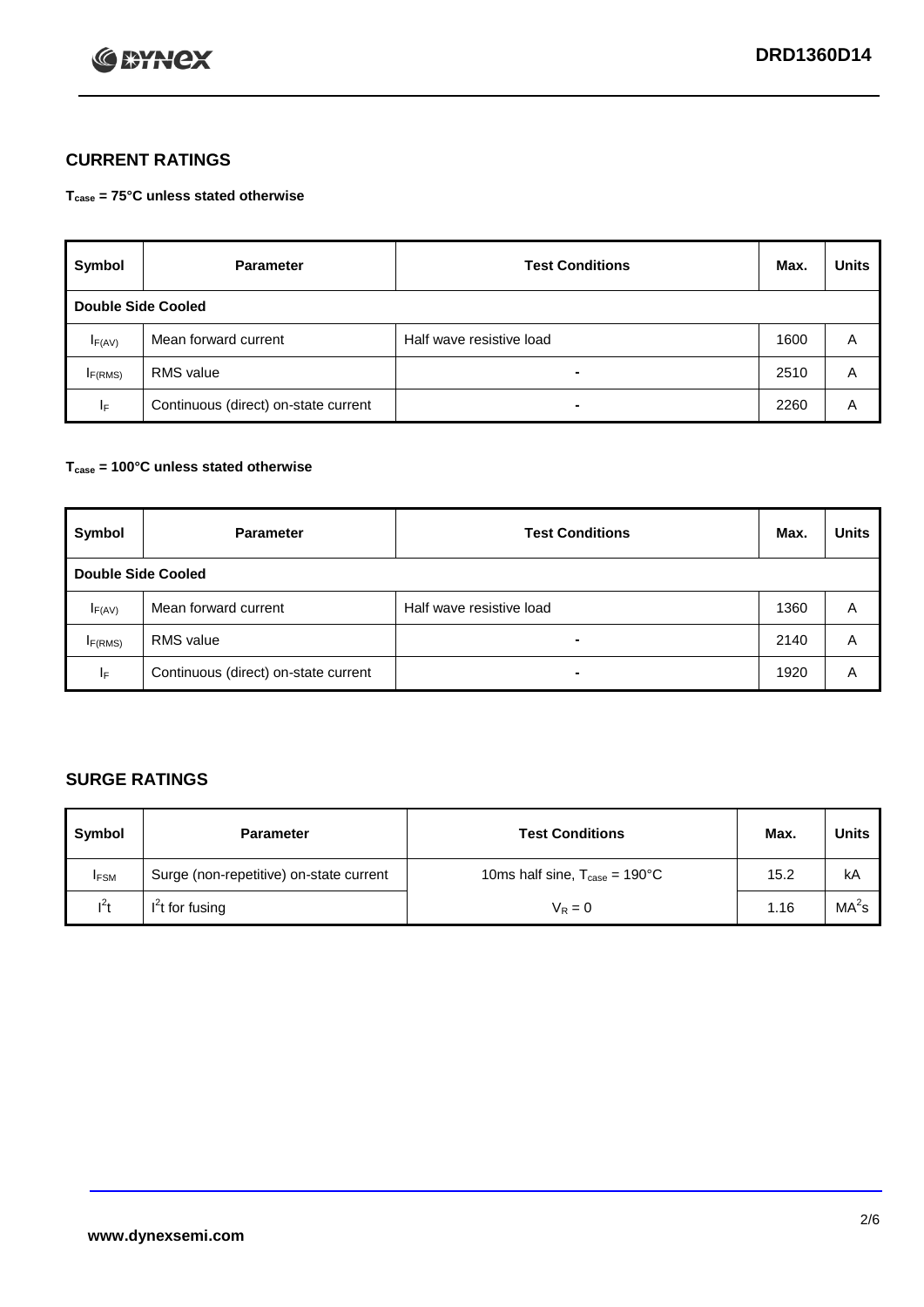

## **CURRENT RATINGS**

**Tcase = 75°C unless stated otherwise**

| Symbol              | <b>Parameter</b>                     | <b>Test Conditions</b>   | Max. | <b>Units</b> |  |
|---------------------|--------------------------------------|--------------------------|------|--------------|--|
| Double Side Cooled  |                                      |                          |      |              |  |
| $I_{F(AV)}$         | Mean forward current                 | Half wave resistive load | 1600 | A            |  |
| I <sub>F(RMS)</sub> | <b>RMS</b> value                     | -                        | 2510 | A            |  |
| IF.                 | Continuous (direct) on-state current | -                        | 2260 | A            |  |

## **Tcase = 100°C unless stated otherwise**

| Symbol                    | <b>Parameter</b>                     | <b>Test Conditions</b>   | Max. | <b>Units</b> |
|---------------------------|--------------------------------------|--------------------------|------|--------------|
| <b>Double Side Cooled</b> |                                      |                          |      |              |
| $I_{F(AV)}$               | Mean forward current                 | Half wave resistive load | 1360 | A            |
| I <sub>F(RMS)</sub>       | <b>RMS</b> value                     | $\overline{\phantom{0}}$ | 2140 | A            |
| IF                        | Continuous (direct) on-state current | ۰                        | 1920 | A            |

## **SURGE RATINGS**

| Symbol      | <b>Parameter</b>                        | <b>Test Conditions</b>                            | Max. | <b>Units</b>      |
|-------------|-----------------------------------------|---------------------------------------------------|------|-------------------|
| <b>IFSM</b> | Surge (non-repetitive) on-state current | 10ms half sine, $T_{\text{case}} = 190^{\circ}$ C | 15.2 | kA                |
| $l^2t$      | I <sup>'</sup> t for fusing             | $V_R = 0$                                         | 1.16 | MA <sup>2</sup> s |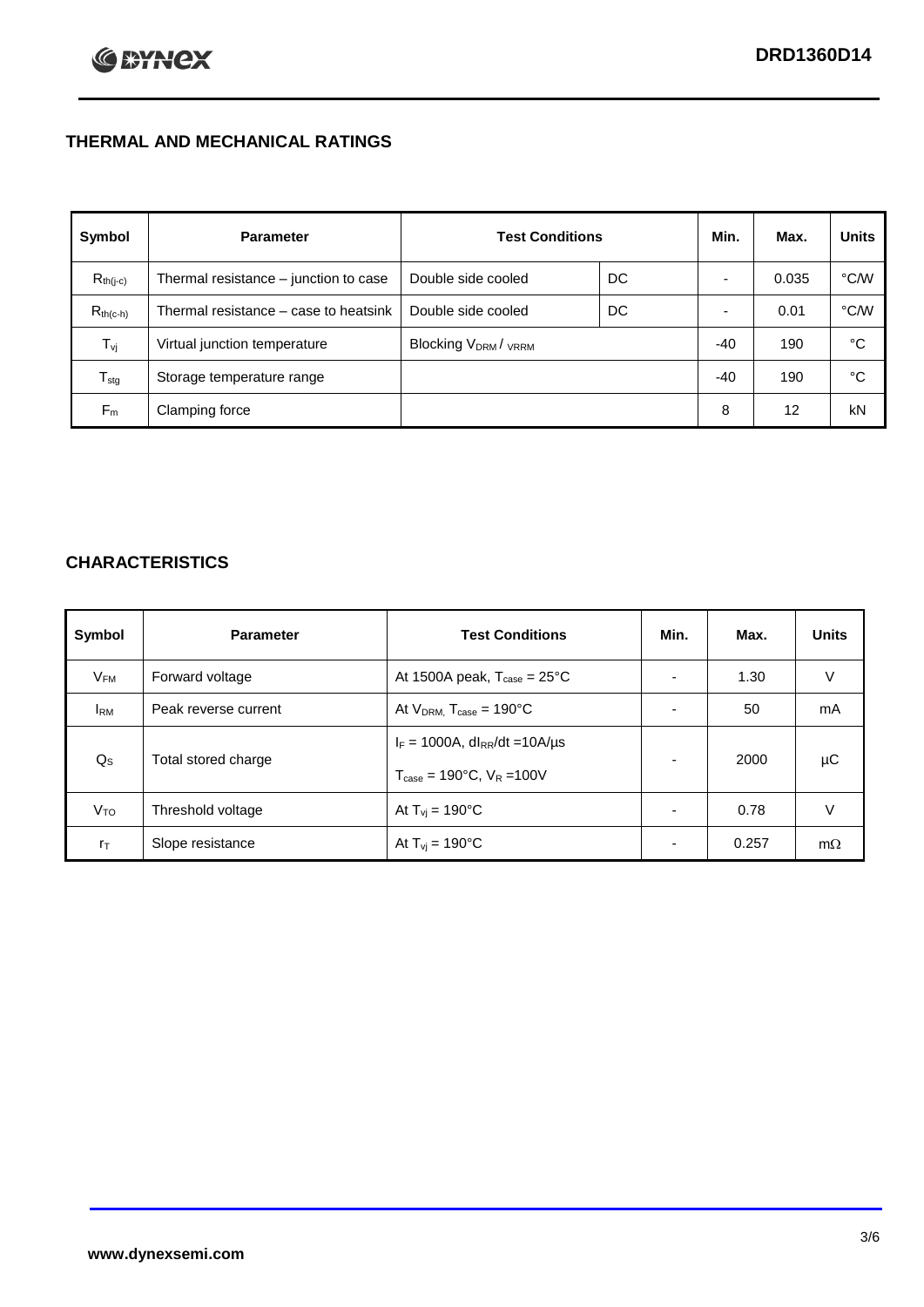## **THERMAL AND MECHANICAL RATINGS**

| Symbol           | <b>Parameter</b>                      | <b>Test Conditions</b>                      |    | Min.  | Max.  | <b>Units</b> |
|------------------|---------------------------------------|---------------------------------------------|----|-------|-------|--------------|
| $R_{th(j-c)}$    | Thermal resistance - junction to case | Double side cooled                          | DC |       | 0.035 | °C/W         |
| $R_{th(c-h)}$    | Thermal resistance – case to heatsink | Double side cooled                          | DC |       | 0.01  | °C/W         |
| $T_{\rm vj}$     | Virtual junction temperature          | Blocking V <sub>DRM</sub> / <sub>VRRM</sub> |    | -40   | 190   | °C           |
| $T_{\text{stg}}$ | Storage temperature range             |                                             |    | $-40$ | 190   | °C           |
| $F_m$            | Clamping force                        |                                             |    | 8     | 12    | kN           |

## **CHARACTERISTICS**

| Symbol                   | <b>Parameter</b>     | <b>Test Conditions</b>                                                                           | Min.           | Max.  | <b>Units</b> |
|--------------------------|----------------------|--------------------------------------------------------------------------------------------------|----------------|-------|--------------|
| $\mathsf{V}_\mathsf{FM}$ | Forward voltage      | At 1500A peak, $T_{\text{case}} = 25^{\circ}C$                                                   |                | 1.30  | V            |
| <b>I</b> <sub>RM</sub>   | Peak reverse current | At $V_{DRM}$ , $T_{case} = 190^{\circ}C$                                                         | ۰              | 50    | mA           |
| $Q_{\rm S}$              | Total stored charge  | $I_F = 1000A$ , dl <sub>RR</sub> /dt = 10A/us<br>$T_{\text{case}} = 190^{\circ}$ C. $V_R = 100V$ | $\blacksquare$ | 2000  | μC           |
| V <sub>TO</sub>          | Threshold voltage    | At $T_{vi} = 190^{\circ}$ C                                                                      | $\blacksquare$ | 0.78  | V            |
| $r_{\text{T}}$           | Slope resistance     | At $T_{vi} = 190^{\circ}$ C                                                                      | ۰.             | 0.257 | $m\Omega$    |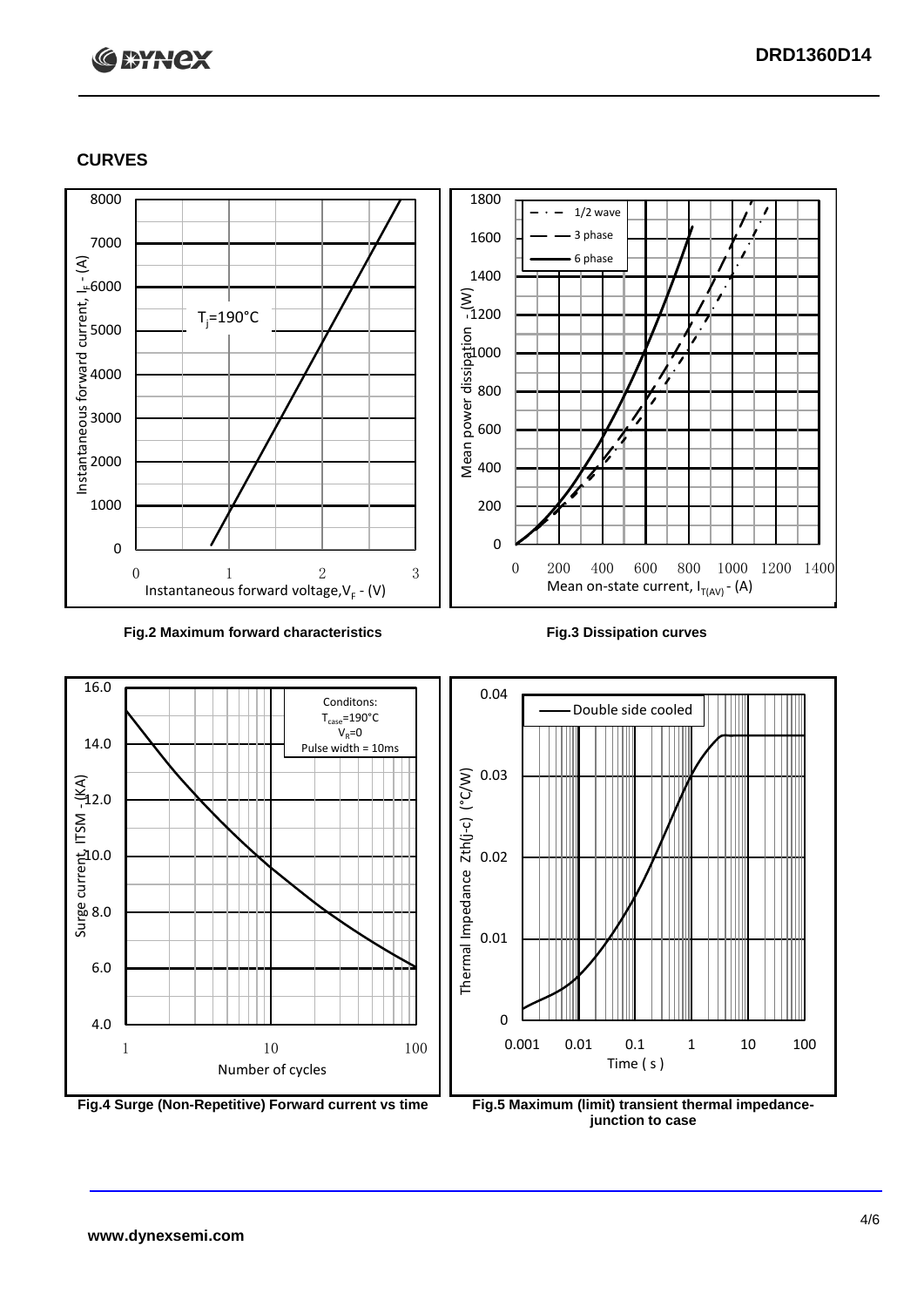# **C BYNCX**

## **CURVES**



### **Fig.2 Maximum forward characteristics Fig.3 Dissipation curves**



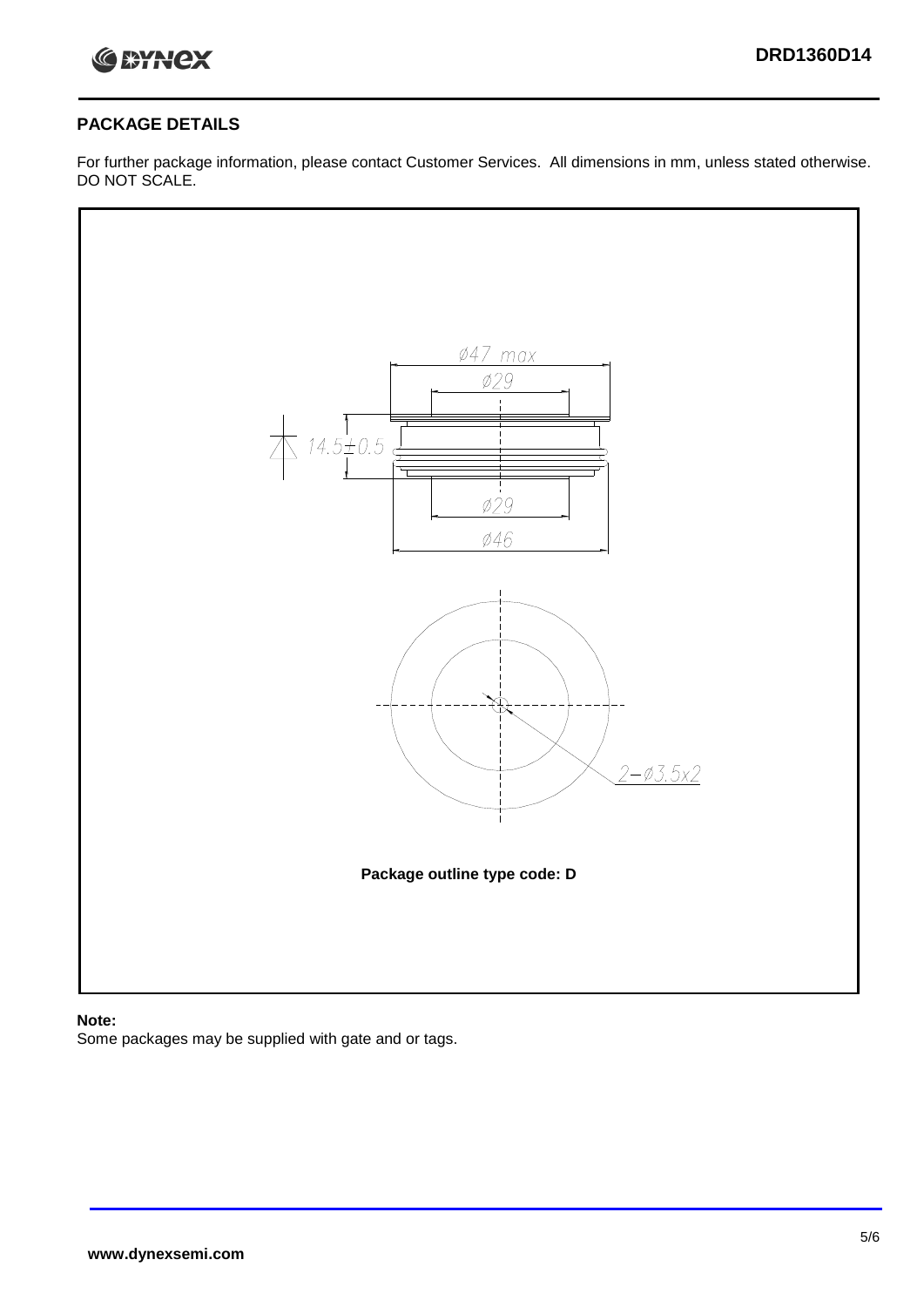

## **PACKAGE DETAILS**

For further package information, please contact Customer Services. All dimensions in mm, unless stated otherwise. DO NOT SCALE.



## **Note:**

Some packages may be supplied with gate and or tags.